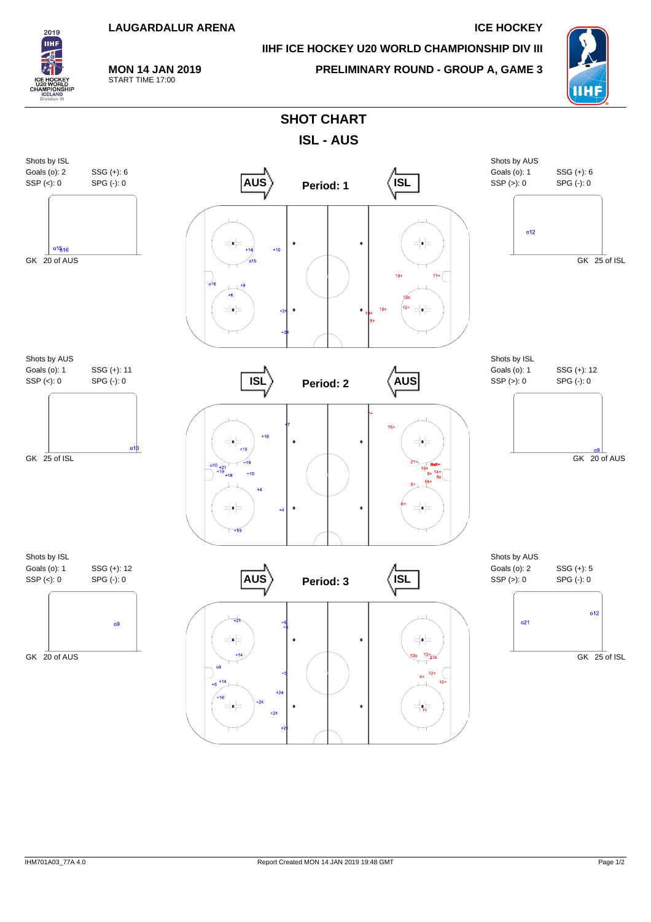

## **IIHF ICE HOCKEY U20 WORLD CHAMPIONSHIP DIV III**



## **MON 14 JAN 2019** START TIME 17:00

**PRELIMINARY ROUND - GROUP A, GAME 3**